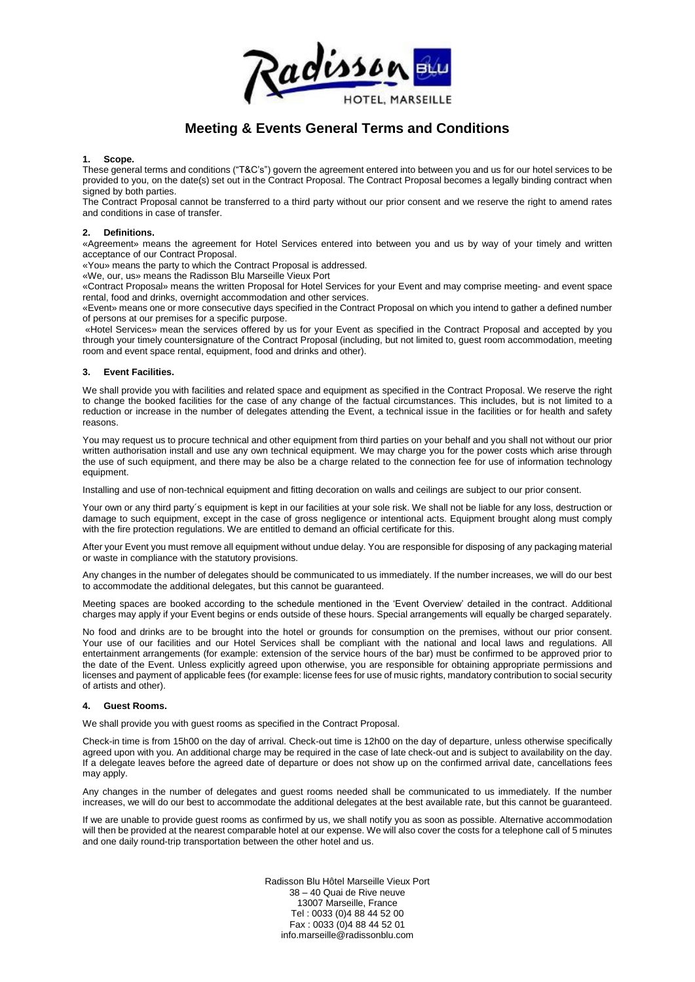

# **Meeting & Events General Terms and Conditions**

#### **1. Scope.**

These general terms and conditions ("T&C's") govern the agreement entered into between you and us for our hotel services to be provided to you, on the date(s) set out in the Contract Proposal. The Contract Proposal becomes a legally binding contract when signed by both parties.

The Contract Proposal cannot be transferred to a third party without our prior consent and we reserve the right to amend rates and conditions in case of transfer.

### **2. Definitions.**

«Agreement» means the agreement for Hotel Services entered into between you and us by way of your timely and written acceptance of our Contract Proposal.

«You» means the party to which the Contract Proposal is addressed.

«We, our, us» means the Radisson Blu Marseille Vieux Port

«Contract Proposal» means the written Proposal for Hotel Services for your Event and may comprise meeting- and event space rental, food and drinks, overnight accommodation and other services.

«Event» means one or more consecutive days specified in the Contract Proposal on which you intend to gather a defined number of persons at our premises for a specific purpose.

«Hotel Services» mean the services offered by us for your Event as specified in the Contract Proposal and accepted by you through your timely countersignature of the Contract Proposal (including, but not limited to, guest room accommodation, meeting room and event space rental, equipment, food and drinks and other).

### **3. Event Facilities.**

We shall provide you with facilities and related space and equipment as specified in the Contract Proposal. We reserve the right to change the booked facilities for the case of any change of the factual circumstances. This includes, but is not limited to a reduction or increase in the number of delegates attending the Event, a technical issue in the facilities or for health and safety reasons.

You may request us to procure technical and other equipment from third parties on your behalf and you shall not without our prior written authorisation install and use any own technical equipment. We may charge you for the power costs which arise through the use of such equipment, and there may be also be a charge related to the connection fee for use of information technology equipment.

Installing and use of non-technical equipment and fitting decoration on walls and ceilings are subject to our prior consent.

Your own or any third party's equipment is kept in our facilities at your sole risk. We shall not be liable for any loss, destruction or damage to such equipment, except in the case of gross negligence or intentional acts. Equipment brought along must comply with the fire protection regulations. We are entitled to demand an official certificate for this.

After your Event you must remove all equipment without undue delay. You are responsible for disposing of any packaging material or waste in compliance with the statutory provisions.

Any changes in the number of delegates should be communicated to us immediately. If the number increases, we will do our best to accommodate the additional delegates, but this cannot be guaranteed.

Meeting spaces are booked according to the schedule mentioned in the 'Event Overview' detailed in the contract. Additional charges may apply if your Event begins or ends outside of these hours. Special arrangements will equally be charged separately.

No food and drinks are to be brought into the hotel or grounds for consumption on the premises, without our prior consent. Your use of our facilities and our Hotel Services shall be compliant with the national and local laws and regulations. All entertainment arrangements (for example: extension of the service hours of the bar) must be confirmed to be approved prior to the date of the Event. Unless explicitly agreed upon otherwise, you are responsible for obtaining appropriate permissions and licenses and payment of applicable fees (for example: license fees for use of music rights, mandatory contribution to social security of artists and other).

### **4. Guest Rooms.**

We shall provide you with guest rooms as specified in the Contract Proposal.

Check-in time is from 15h00 on the day of arrival. Check-out time is 12h00 on the day of departure, unless otherwise specifically agreed upon with you. An additional charge may be required in the case of late check-out and is subject to availability on the day. If a delegate leaves before the agreed date of departure or does not show up on the confirmed arrival date, cancellations fees may apply.

Any changes in the number of delegates and guest rooms needed shall be communicated to us immediately. If the number increases, we will do our best to accommodate the additional delegates at the best available rate, but this cannot be guaranteed.

If we are unable to provide guest rooms as confirmed by us, we shall notify you as soon as possible. Alternative accommodation will then be provided at the nearest comparable hotel at our expense. We will also cover the costs for a telephone call of 5 minutes and one daily round-trip transportation between the other hotel and us.

> Radisson Blu Hôtel Marseille Vieux Port 38 – 40 Quai de Rive neuve 13007 Marseille, France Tel : 0033 (0)4 88 44 52 00 Fax : 0033 (0)4 88 44 52 01 info.marseille@radissonblu.com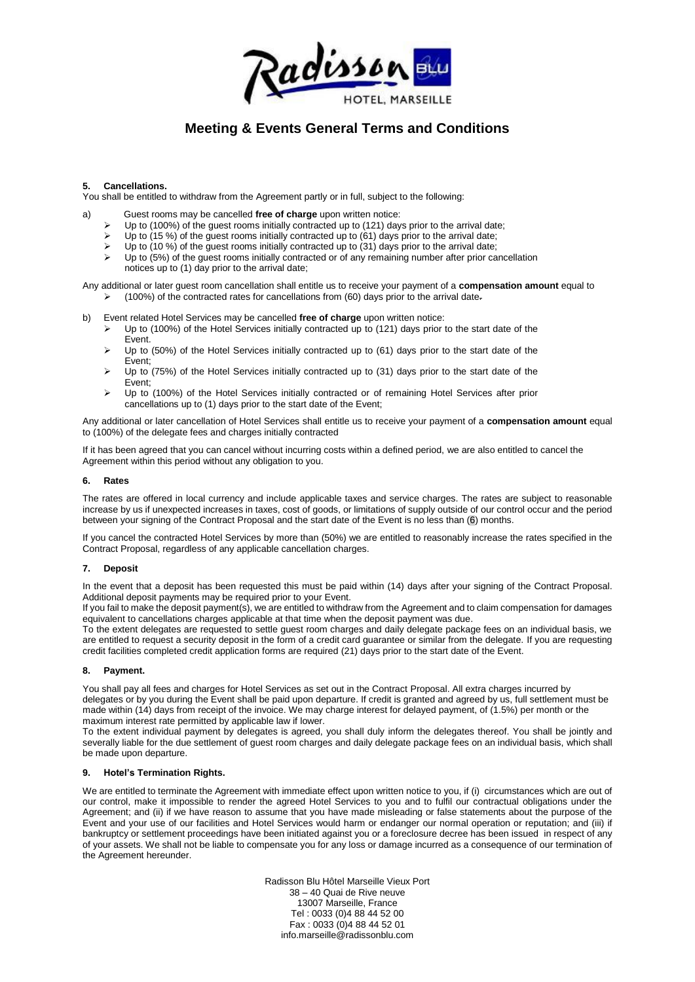

# **Meeting & Events General Terms and Conditions**

### **5. Cancellations.**

You shall be entitled to withdraw from the Agreement partly or in full, subject to the following:

- a) Guest rooms may be cancelled **free of charge** upon written notice:
	- Up to (100%) of the guest rooms initially contracted up to (121) days prior to the arrival date;
	- $\triangleright$  Up to (15 %) of the guest rooms initially contracted up to (61) days prior to the arrival date;
	- $\triangleright$  Up to (10 %) of the guest rooms initially contracted up to (31) days prior to the arrival date;
	- $\triangleright$  Up to (5%) of the guest rooms initially contracted or of any remaining number after prior cancellation notices up to (1) day prior to the arrival date;

Any additional or later guest room cancellation shall entitle us to receive your payment of a **compensation amount** equal to (100%) of the contracted rates for cancellations from (60) days prior to the arrival date.

- b) Event related Hotel Services may be cancelled **free of charge** upon written notice:
	- Up to (100%) of the Hotel Services initially contracted up to (121) days prior to the start date of the Event.
	- $\triangleright$  Up to (50%) of the Hotel Services initially contracted up to (61) days prior to the start date of the Event;
	- $\triangleright$  Up to (75%) of the Hotel Services initially contracted up to (31) days prior to the start date of the Event;
	- $\triangleright$  Up to (100%) of the Hotel Services initially contracted or of remaining Hotel Services after prior cancellations up to (1) days prior to the start date of the Event;

Any additional or later cancellation of Hotel Services shall entitle us to receive your payment of a **compensation amount** equal to (100%) of the delegate fees and charges initially contracted

If it has been agreed that you can cancel without incurring costs within a defined period, we are also entitled to cancel the Agreement within this period without any obligation to you.

### **6. Rates**

The rates are offered in local currency and include applicable taxes and service charges. The rates are subject to reasonable increase by us if unexpected increases in taxes, cost of goods, or limitations of supply outside of our control occur and the period between your signing of the Contract Proposal and the start date of the Event is no less than (6) months.

If you cancel the contracted Hotel Services by more than (50%) we are entitled to reasonably increase the rates specified in the Contract Proposal, regardless of any applicable cancellation charges.

### **7. Deposit**

In the event that a deposit has been requested this must be paid within (14) days after your signing of the Contract Proposal. Additional deposit payments may be required prior to your Event.

If you fail to make the deposit payment(s), we are entitled to withdraw from the Agreement and to claim compensation for damages equivalent to cancellations charges applicable at that time when the deposit payment was due.

To the extent delegates are requested to settle guest room charges and daily delegate package fees on an individual basis, we are entitled to request a security deposit in the form of a credit card guarantee or similar from the delegate. If you are requesting credit facilities completed credit application forms are required (21) days prior to the start date of the Event.

### **8. Payment.**

You shall pay all fees and charges for Hotel Services as set out in the Contract Proposal. All extra charges incurred by delegates or by you during the Event shall be paid upon departure. If credit is granted and agreed by us, full settlement must be made within (14) days from receipt of the invoice. We may charge interest for delayed payment, of (1.5%) per month or the maximum interest rate permitted by applicable law if lower.

To the extent individual payment by delegates is agreed, you shall duly inform the delegates thereof. You shall be jointly and severally liable for the due settlement of guest room charges and daily delegate package fees on an individual basis, which shall be made upon departure.

## **9. Hotel's Termination Rights.**

We are entitled to terminate the Agreement with immediate effect upon written notice to you, if (i) circumstances which are out of our control, make it impossible to render the agreed Hotel Services to you and to fulfil our contractual obligations under the Agreement; and (ii) if we have reason to assume that you have made misleading or false statements about the purpose of the Event and your use of our facilities and Hotel Services would harm or endanger our normal operation or reputation; and (iii) if bankruptcy or settlement proceedings have been initiated against you or a foreclosure decree has been issued in respect of any of your assets. We shall not be liable to compensate you for any loss or damage incurred as a consequence of our termination of the Agreement hereunder.

> Radisson Blu Hôtel Marseille Vieux Port 38 – 40 Quai de Rive neuve 13007 Marseille, France Tel : 0033 (0)4 88 44 52 00 Fax : 0033 (0)4 88 44 52 01 info.marseille@radissonblu.com